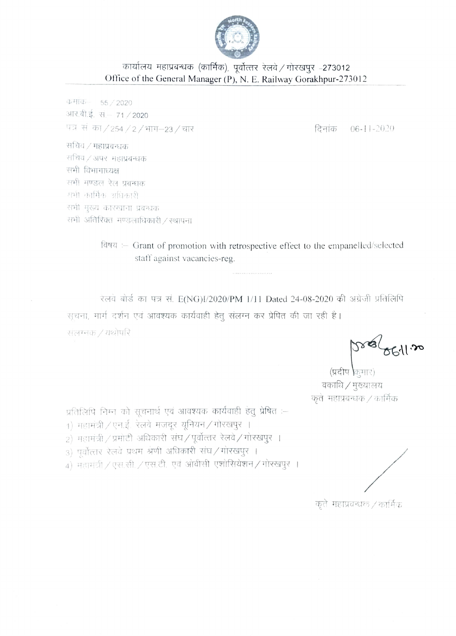

## कार्यालय महाप्रबन्धक (कार्मिक), पूर्वोत्तर रेलवे / गोरखपुर -273012 Office of the General Manager (P), N. E. Railway Gorakhpur-273012

**कमांक** 55 / 2020 आर.बी.ई. सं.– 71 / 2020 पत्र सं का/254/2/भाग-23/चार

दिनांक 06-11-2020

सचिव / महाप्रबन्धक सचिव / अपर महाप्रबन्धक सभी विभागाध्यक्ष सभी मण्डल रेल प्रबन्धक मभी कार्मिक अधिकारी सभी मुख्य कारखाना प्रबन्धक सभी अतिरिक्त मण्डलाधिकारी / स्थापना

> विषय :- Grant of promotion with retrospective effect to the empanelled/selected staff against vacancies-reg.

रेलवे बोर्ड का पत्र सं. E(NG)I/2020/PM 1/11 Dated 24-08-2020 की अग्रेजी प्रतिलिपि सूचना, मार्ग दर्शन एवं आवश्यक कार्यवाही हेतू संलग्न कर प्रेषित की जा रही है। सलग्नक / यथोपरि

(प्रदीप किमार) वकाधि / मुख्यालय कृते महाप्रबन्धक $\angle$ कार्मिक

प्रतिलिपि निम्न को सूचनार्थ एवं आवश्यक कार्यवाही हेतु प्रेषित :--

- 1) महामंत्री / एन.ई. रेलवे मजदूर यूनियन / गोरखपुर ।
- 2) महामंत्री / प्रमोटी अधिकारी संघ / पूर्वोत्तर रेलवे / गोरखपुर ।
- 3) पूर्वोत्तार रेलवे प्रथम श्रेणी अधिकारी संघ/गोरखपुर ।

4) महामंत्री / एस.सी. / एस.टी. एवं ओबीसी एशोसियेशन / गोरखपुर ।

कृते महाप्रवन्धक / कार्मिक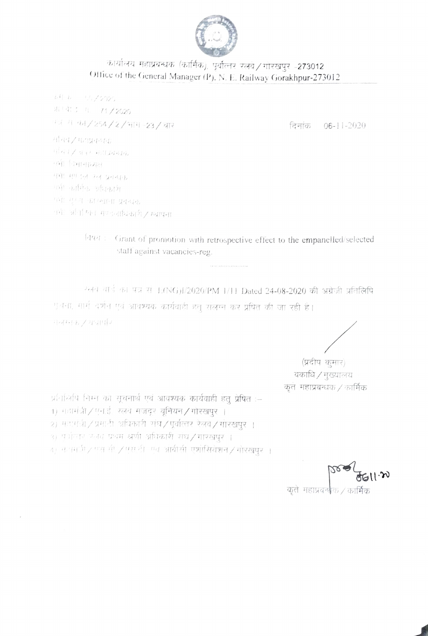

## कार्यालय महाप्रवन्धक (कार्मिक), पूर्वोत्तर रलवे / गोरखपुर -273012 Office of the General Manager (P), N. E. Railway Gorakhpur-273012

いりゃ いっぺつ20 邪(年3年) 11 71/2020 ण्ड{ाग=का√254/2/भाग-23/घार सबिय√ महाप्रकश्मक सौंचपार अवर भाषाप्रधानक मभी विभागाध्यक्ष यभा मण्डल रल प्रक्चक गयी कार्मिक अधिकारी गर्भा गुल्जा कारखाना प्रयन्धक पर्याः अभिन्धितः मण्डलाधिकारी / स्थापना

दिनांक 06-11-2020

विषय : Grant of promotion with retrospective effect to the empanelled/selected staff against vacancies-reg.

ग्सव वार्ड का पत्र से E(NG)I/2020/PM 1/11 Dated 24-08-2020 की अंग्रेजी प्रतिलिपि पुलना, मार्ग दर्शन एवं आवश्यक कार्यवाही हेतू संलग्न कर प्रेपित की जा रही है। मन्त्रमक रथवार्मर

(प्रदीप कमार) वकाधि / मुख्यालय कुतं महाप्रबन्धक / कार्मिक

प्रतिभिपि निम्न को सूचनार्थ एवं आवश्यक कार्यवाही हेतू प्रेषित :-1) महामंत्री / एन.ई. रलवे मजदर युनियन / गोरखपुर । 2) महागंधी/प्रमाठी अधिकारी संघ/पूर्वोत्तर रेलवे/गोरखपुर । 3) पूर्वातार फेनव प्रथम श्रणी अधिकारी संघ / गोरखपर ।

4) भन्नमधी ⁄ एस थी ∕ एस.टी एवं आंबीसी एशोसियेशन ∕ गोरखपुर ।